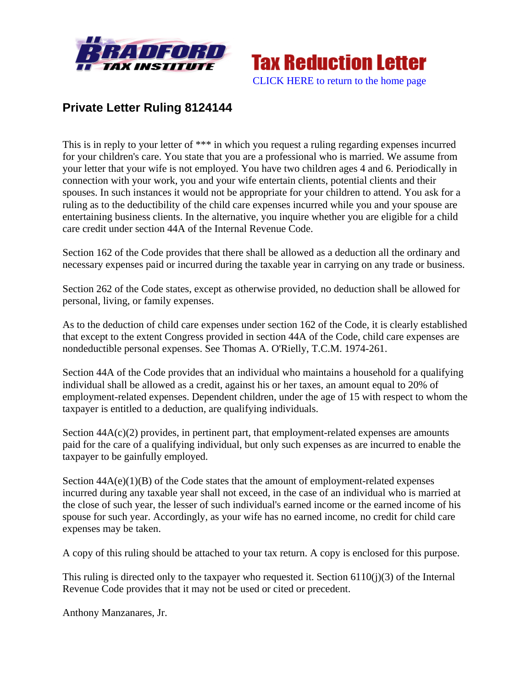



## **Private Letter Ruling 8124144**

This is in reply to your letter of \*\*\* in which you request a ruling regarding expenses incurred for your children's care. You state that you are a professional who is married. We assume from your letter that your wife is not employed. You have two children ages 4 and 6. Periodically in connection with your work, you and your wife entertain clients, potential clients and their spouses. In such instances it would not be appropriate for your children to attend. You ask for a ruling as to the deductibility of the child care expenses incurred while you and your spouse are entertaining business clients. In the alternative, you inquire whether you are eligible for a child care credit under section 44A of the Internal Revenue Code.

Section 162 of the Code provides that there shall be allowed as a deduction all the ordinary and necessary expenses paid or incurred during the taxable year in carrying on any trade or business.

Section 262 of the Code states, except as otherwise provided, no deduction shall be allowed for personal, living, or family expenses.

As to the deduction of child care expenses under section 162 of the Code, it is clearly established that except to the extent Congress provided in section 44A of the Code, child care expenses are nondeductible personal expenses. See Thomas A. O'Rielly, T.C.M. 1974-261.

Section 44A of the Code provides that an individual who maintains a household for a qualifying individual shall be allowed as a credit, against his or her taxes, an amount equal to 20% of employment-related expenses. Dependent children, under the age of 15 with respect to whom the taxpayer is entitled to a deduction, are qualifying individuals.

Section  $44A(c)(2)$  provides, in pertinent part, that employment-related expenses are amounts paid for the care of a qualifying individual, but only such expenses as are incurred to enable the taxpayer to be gainfully employed.

Section  $44A(e)(1)(B)$  of the Code states that the amount of employment-related expenses incurred during any taxable year shall not exceed, in the case of an individual who is married at the close of such year, the lesser of such individual's earned income or the earned income of his spouse for such year. Accordingly, as your wife has no earned income, no credit for child care expenses may be taken.

A copy of this ruling should be attached to your tax return. A copy is enclosed for this purpose.

This ruling is directed only to the taxpayer who requested it. Section 6110(j)(3) of the Internal Revenue Code provides that it may not be used or cited or precedent.

Anthony Manzanares, Jr.